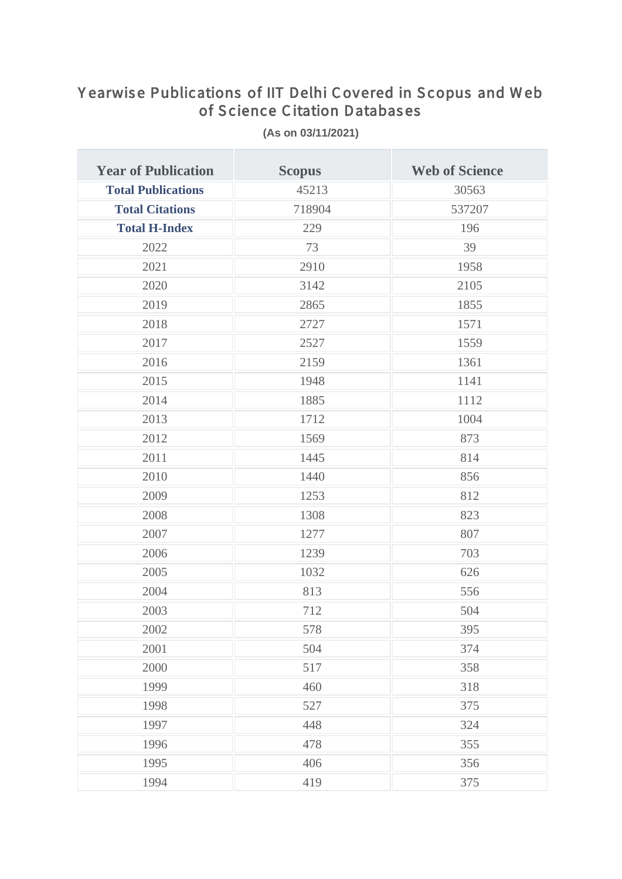## Yearwise Publications of IIT Delhi Covered in Scopus and Web of Science Citation Databases

| <b>Year of Publication</b> | <b>Scopus</b> | <b>Web of Science</b> |
|----------------------------|---------------|-----------------------|
| <b>Total Publications</b>  | 45213         | 30563                 |
| <b>Total Citations</b>     | 718904        | 537207                |
| <b>Total H-Index</b>       | 229           | 196                   |
| 2022                       | 73            | 39                    |
| 2021                       | 2910          | 1958                  |
| 2020                       | 3142          | 2105                  |
| 2019                       | 2865          | 1855                  |
| 2018                       | 2727          | 1571                  |
| 2017                       | 2527          | 1559                  |
| 2016                       | 2159          | 1361                  |
| 2015                       | 1948          | 1141                  |
| 2014                       | 1885          | 1112                  |
| 2013                       | 1712          | 1004                  |
| 2012                       | 1569          | 873                   |
| 2011                       | 1445          | 814                   |
| 2010                       | 1440          | 856                   |
| 2009                       | 1253          | 812                   |
| 2008                       | 1308          | 823                   |
| 2007                       | 1277          | 807                   |
| 2006                       | 1239          | 703                   |
| 2005                       | 1032          | 626                   |
| 2004                       | 813           | 556                   |
| 2003                       | 712           | 504                   |
| 2002                       | 578           | 395                   |
| 2001                       | 504           | 374                   |
| 2000                       | 517           | 358                   |
| 1999                       | 460           | 318                   |
| 1998                       | 527           | 375                   |
| 1997                       | 448           | 324                   |
| 1996                       | 478           | 355                   |
| 1995                       | 406           | 356                   |
| 1994                       | 419           | 375                   |

(As on 03/11/2021)